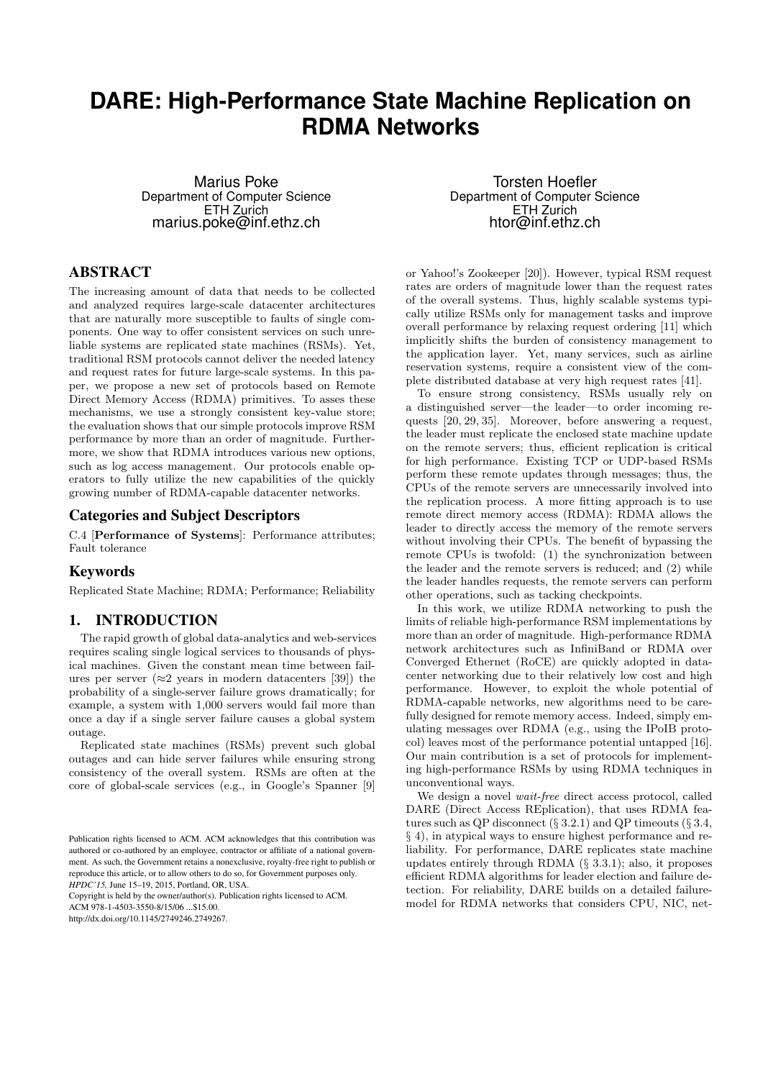# **DARE: High-Performance State Machine Replication on RDMA Networks**

Marius Poke Department of Computer Science ETH Zurich marius.poke@inf.ethz.ch

# ABSTRACT

The increasing amount of data that needs to be collected and analyzed requires large-scale datacenter architectures that are naturally more susceptible to faults of single components. One way to offer consistent services on such unreliable systems are replicated state machines (RSMs). Yet, traditional RSM protocols cannot deliver the needed latency and request rates for future large-scale systems. In this paper, we propose a new set of protocols based on Remote Direct Memory Access (RDMA) primitives. To asses these mechanisms, we use a strongly consistent key-value store; the evaluation shows that our simple protocols improve RSM performance by more than an order of magnitude. Furthermore, we show that RDMA introduces various new options, such as log access management. Our protocols enable operators to fully utilize the new capabilities of the quickly growing number of RDMA-capable datacenter networks.

# Categories and Subject Descriptors

C.4 [Performance of Systems]: Performance attributes; Fault tolerance

# Keywords

Replicated State Machine; RDMA; Performance; Reliability

## 1. INTRODUCTION

The rapid growth of global data-analytics and web-services requires scaling single logical services to thousands of physical machines. Given the constant mean time between failures per server ( $\approx$ 2 years in modern datacenters [39]) the probability of a single-server failure grows dramatically; for example, a system with 1,000 servers would fail more than once a day if a single server failure causes a global system outage.

Replicated state machines (RSMs) prevent such global outages and can hide server failures while ensuring strong consistency of the overall system. RSMs are often at the core of global-scale services (e.g., in Google's Spanner [9]

Copyright is held by the owner/author(s). Publication rights licensed to ACM. ACM 978-1-4503-3550-8/15/06 \$15.00

http://dx.doi.org/10.1145/2749246.2749267.

Torsten Hoefler Department of Computer Science ETH Zurich htor@inf.ethz.ch

or Yahoo!'s Zookeeper [20]). However, typical RSM request rates are orders of magnitude lower than the request rates of the overall systems. Thus, highly scalable systems typically utilize RSMs only for management tasks and improve overall performance by relaxing request ordering [11] which implicitly shifts the burden of consistency management to the application layer. Yet, many services, such as airline reservation systems, require a consistent view of the complete distributed database at very high request rates [41].

To ensure strong consistency, RSMs usually rely on a distinguished server—the leader—to order incoming requests [20, 29, 35]. Moreover, before answering a request, the leader must replicate the enclosed state machine update on the remote servers; thus, efficient replication is critical for high performance. Existing TCP or UDP-based RSMs perform these remote updates through messages; thus, the CPUs of the remote servers are unnecessarily involved into the replication process. A more fitting approach is to use remote direct memory access (RDMA): RDMA allows the leader to directly access the memory of the remote servers without involving their CPUs. The benefit of bypassing the remote CPUs is twofold: (1) the synchronization between the leader and the remote servers is reduced; and (2) while the leader handles requests, the remote servers can perform other operations, such as tacking checkpoints.

In this work, we utilize RDMA networking to push the limits of reliable high-performance RSM implementations by more than an order of magnitude. High-performance RDMA network architectures such as InfiniBand or RDMA over Converged Ethernet (RoCE) are quickly adopted in datacenter networking due to their relatively low cost and high performance. However, to exploit the whole potential of RDMA-capable networks, new algorithms need to be carefully designed for remote memory access. Indeed, simply emulating messages over RDMA (e.g., using the IPoIB protocol) leaves most of the performance potential untapped [16]. Our main contribution is a set of protocols for implementing high-performance RSMs by using RDMA techniques in unconventional ways.

We design a novel *wait-free* direct access protocol, called DARE (Direct Access REplication), that uses RDMA features such as QP disconnect ( $\S 3.2.1$ ) and QP timeouts ( $\S 3.4$ , § 4), in atypical ways to ensure highest performance and reliability. For performance, DARE replicates state machine updates entirely through RDMA (§ 3.3.1); also, it proposes efficient RDMA algorithms for leader election and failure detection. For reliability, DARE builds on a detailed failuremodel for RDMA networks that considers CPU, NIC, net-

Publication rights licensed to ACM. ACM acknowledges that this contribution was authored or co-authored by an employee, contractor or affiliate of a national government. As such, the Government retains a nonexclusive, royalty-free right to publish or reproduce this article, or to allow others to do so, for Government purposes only. *HPDC'15,* June 15–19, 2015, Portland, OR, USA.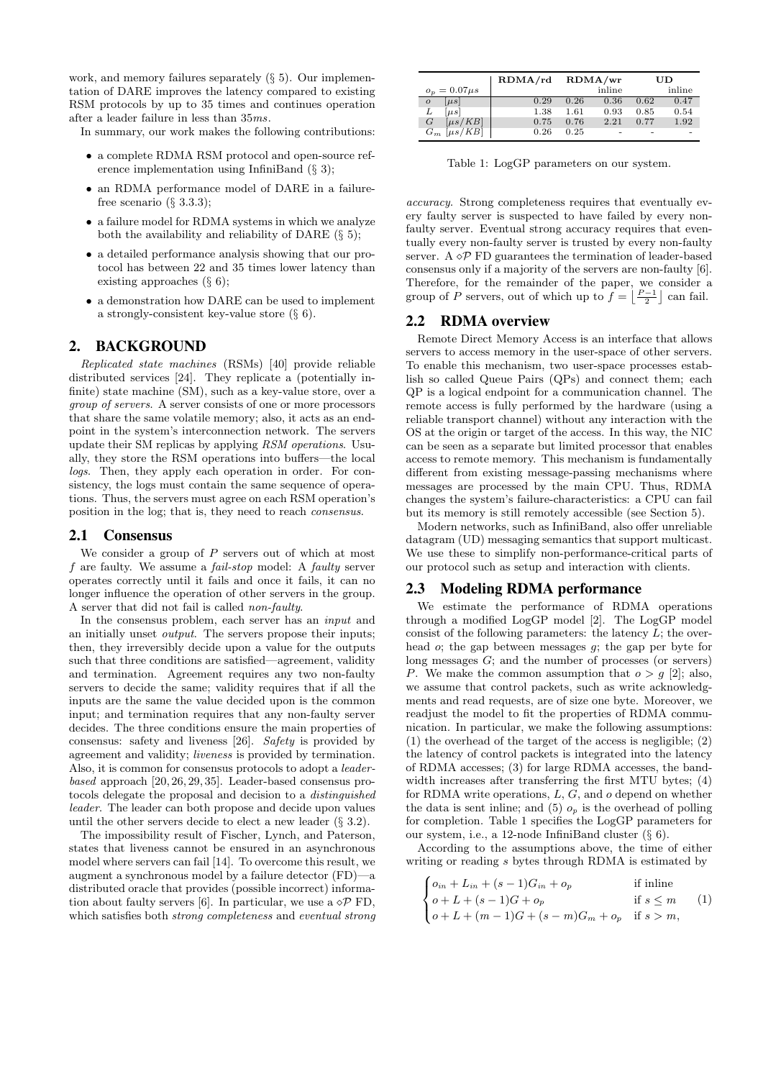work, and memory failures separately (§ 5). Our implementation of DARE improves the latency compared to existing RSM protocols by up to 35 times and continues operation after a leader failure in less than 35ms.

In summary, our work makes the following contributions:

- a complete RDMA RSM protocol and open-source reference implementation using InfiniBand (§ 3);
- an RDMA performance model of DARE in a failurefree scenario  $(\S 3.3.3)$ ;
- a failure model for RDMA systems in which we analyze both the availability and reliability of DARE  $(8, 5)$ ;
- a detailed performance analysis showing that our protocol has between 22 and 35 times lower latency than existing approaches (§ 6);
- a demonstration how DARE can be used to implement a strongly-consistent key-value store (§ 6).

# 2. BACKGROUND

Replicated state machines (RSMs) [40] provide reliable distributed services [24]. They replicate a (potentially infinite) state machine (SM), such as a key-value store, over a group of servers. A server consists of one or more processors that share the same volatile memory; also, it acts as an endpoint in the system's interconnection network. The servers update their SM replicas by applying RSM operations. Usually, they store the RSM operations into buffers—the local logs. Then, they apply each operation in order. For consistency, the logs must contain the same sequence of operations. Thus, the servers must agree on each RSM operation's position in the log; that is, they need to reach consensus.

#### 2.1 Consensus

We consider a group of  $P$  servers out of which at most f are faulty. We assume a fail-stop model: A faulty server operates correctly until it fails and once it fails, it can no longer influence the operation of other servers in the group. A server that did not fail is called non-faulty.

In the consensus problem, each server has an input and an initially unset output. The servers propose their inputs; then, they irreversibly decide upon a value for the outputs such that three conditions are satisfied—agreement, validity and termination. Agreement requires any two non-faulty servers to decide the same; validity requires that if all the inputs are the same the value decided upon is the common input; and termination requires that any non-faulty server decides. The three conditions ensure the main properties of consensus: safety and liveness [26]. Safety is provided by agreement and validity; liveness is provided by termination. Also, it is common for consensus protocols to adopt a leaderbased approach [20, 26, 29, 35]. Leader-based consensus protocols delegate the proposal and decision to a distinguished leader. The leader can both propose and decide upon values until the other servers decide to elect a new leader (§ 3.2).

The impossibility result of Fischer, Lynch, and Paterson, states that liveness cannot be ensured in an asynchronous model where servers can fail [14]. To overcome this result, we augment a synchronous model by a failure detector (FD)—a distributed oracle that provides (possible incorrect) information about faulty servers [6]. In particular, we use a  $\Diamond \mathcal{P}$  FD, which satisfies both strong completeness and eventual strong

|                           | $\rm RDMA/rd$ | $\rm RDMA/wr$ |      | UD     |  |
|---------------------------|---------------|---------------|------|--------|--|
| $o_n = 0.07 \mu s$        |               | inline        |      | inline |  |
| $\mu s$<br>$\overline{O}$ | 0.29          | 0.36<br>0.26  | 0.62 | 0.47   |  |
| L<br>$\mu s$              | 1.38          | 0.93<br>1.61  | 0.85 | 0.54   |  |
| $[\mu s/KB]$<br>G         | 0.75          | 2.21<br>0.76  | 0.77 | 1.92   |  |
| $[\mu s / K B]$<br>$G_m$  | 0.26          | 0.25          |      |        |  |

Table 1: LogGP parameters on our system.

accuracy. Strong completeness requires that eventually every faulty server is suspected to have failed by every nonfaulty server. Eventual strong accuracy requires that eventually every non-faulty server is trusted by every non-faulty server. A  $\Diamond \mathcal{P}$  FD guarantees the termination of leader-based consensus only if a majority of the servers are non-faulty [6]. Therefore, for the remainder of the paper, we consider a group of P servers, out of which up to  $f = \left\lfloor \frac{P-1}{2} \right\rfloor$  can fail.

## 2.2 RDMA overview

Remote Direct Memory Access is an interface that allows servers to access memory in the user-space of other servers. To enable this mechanism, two user-space processes establish so called Queue Pairs (QPs) and connect them; each QP is a logical endpoint for a communication channel. The remote access is fully performed by the hardware (using a reliable transport channel) without any interaction with the OS at the origin or target of the access. In this way, the NIC can be seen as a separate but limited processor that enables access to remote memory. This mechanism is fundamentally different from existing message-passing mechanisms where messages are processed by the main CPU. Thus, RDMA changes the system's failure-characteristics: a CPU can fail but its memory is still remotely accessible (see Section 5).

Modern networks, such as InfiniBand, also offer unreliable datagram (UD) messaging semantics that support multicast. We use these to simplify non-performance-critical parts of our protocol such as setup and interaction with clients.

#### 2.3 Modeling RDMA performance

We estimate the performance of RDMA operations through a modified LogGP model [2]. The LogGP model consist of the following parameters: the latency  $L$ ; the overhead  $o$ ; the gap between messages  $g$ ; the gap per byte for long messages G; and the number of processes (or servers) P. We make the common assumption that  $o > g$  [2]; also, we assume that control packets, such as write acknowledgments and read requests, are of size one byte. Moreover, we readjust the model to fit the properties of RDMA communication. In particular, we make the following assumptions: (1) the overhead of the target of the access is negligible; (2) the latency of control packets is integrated into the latency of RDMA accesses; (3) for large RDMA accesses, the bandwidth increases after transferring the first MTU bytes; (4) for RDMA write operations,  $L, G$ , and  $o$  depend on whether the data is sent inline; and (5)  $o_p$  is the overhead of polling for completion. Table 1 specifies the LogGP parameters for our system, i.e., a 12-node InfiniBand cluster (§ 6).

According to the assumptions above, the time of either writing or reading s bytes through RDMA is estimated by

$$
\begin{cases}\n o_{in} + L_{in} + (s-1)G_{in} + o_p & \text{if inline} \\
 o + L + (s-1)G + o_p & \text{if } s \le m \\
 o + L + (m-1)G + (s-m)G_m + o_p & \text{if } s > m,\n\end{cases} \tag{1}
$$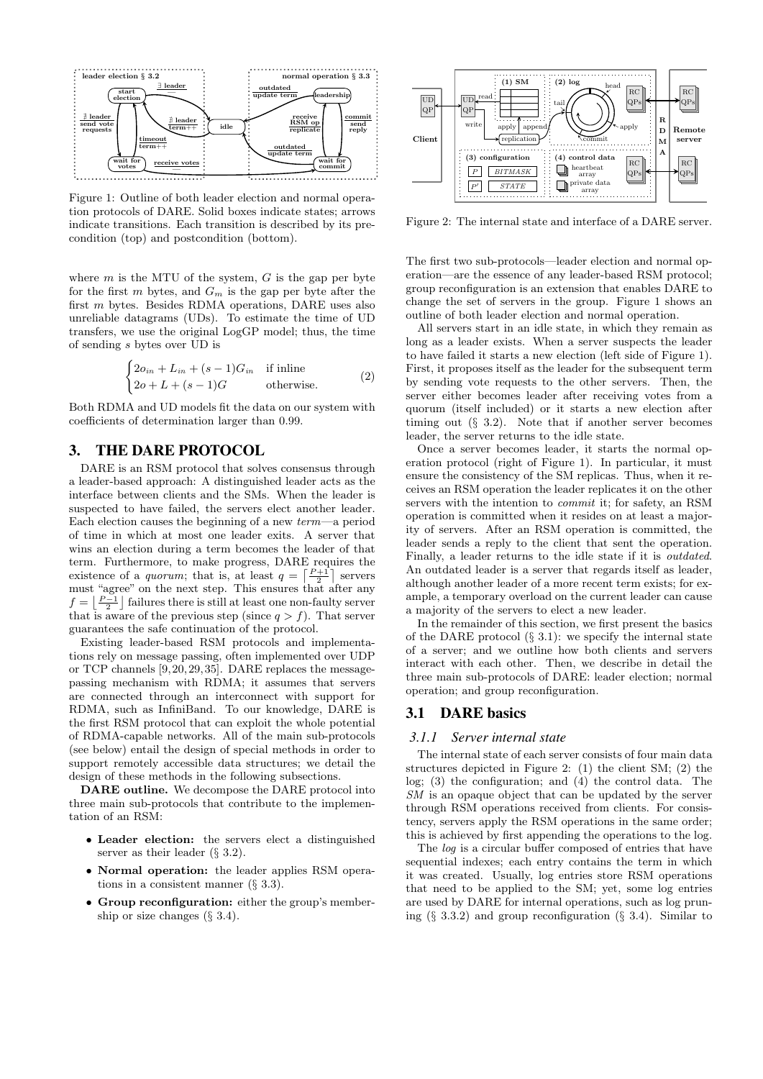

Figure 1: Outline of both leader election and normal operation protocols of DARE. Solid boxes indicate states; arrows indicate transitions. Each transition is described by its precondition (top) and postcondition (bottom).

where  $m$  is the MTU of the system,  $G$  is the gap per byte for the first m bytes, and  $G_m$  is the gap per byte after the first m bytes. Besides RDMA operations, DARE uses also unreliable datagrams (UDs). To estimate the time of UD transfers, we use the original LogGP model; thus, the time of sending s bytes over UD is

$$
\begin{cases} 2o_{in} + L_{in} + (s-1)G_{in} & \text{if inline} \\ 2o + L + (s-1)G & \text{otherwise.} \end{cases}
$$
 (2)

Both RDMA and UD models fit the data on our system with coefficients of determination larger than 0.99.

# 3. THE DARE PROTOCOL

DARE is an RSM protocol that solves consensus through a leader-based approach: A distinguished leader acts as the interface between clients and the SMs. When the leader is suspected to have failed, the servers elect another leader. Each election causes the beginning of a new term—a period of time in which at most one leader exits. A server that wins an election during a term becomes the leader of that term. Furthermore, to make progress, DARE requires the existence of a *quorum*; that is, at least  $q = \lceil \frac{P+1}{2} \rceil$  servers must "agree" on the next step. This ensures that after any  $f = \left\lfloor \frac{P-1}{2} \right\rfloor$  failures there is still at least one non-faulty server that is aware of the previous step (since  $q > f$ ). That server guarantees the safe continuation of the protocol.

Existing leader-based RSM protocols and implementations rely on message passing, often implemented over UDP or TCP channels [9,20,29,35]. DARE replaces the messagepassing mechanism with RDMA; it assumes that servers are connected through an interconnect with support for RDMA, such as InfiniBand. To our knowledge, DARE is the first RSM protocol that can exploit the whole potential of RDMA-capable networks. All of the main sub-protocols (see below) entail the design of special methods in order to support remotely accessible data structures; we detail the design of these methods in the following subsections.

DARE outline. We decompose the DARE protocol into three main sub-protocols that contribute to the implementation of an RSM:

- Leader election: the servers elect a distinguished server as their leader (§ 3.2).
- Normal operation: the leader applies RSM operations in a consistent manner  $(\S 3.3)$ .
- Group reconfiguration: either the group's membership or size changes  $(\S 3.4)$ .



Figure 2: The internal state and interface of a DARE server.

The first two sub-protocols—leader election and normal operation—are the essence of any leader-based RSM protocol; group reconfiguration is an extension that enables DARE to change the set of servers in the group. Figure 1 shows an outline of both leader election and normal operation.

All servers start in an idle state, in which they remain as long as a leader exists. When a server suspects the leader to have failed it starts a new election (left side of Figure 1). First, it proposes itself as the leader for the subsequent term by sending vote requests to the other servers. Then, the server either becomes leader after receiving votes from a quorum (itself included) or it starts a new election after timing out  $(\S$  3.2). Note that if another server becomes leader, the server returns to the idle state.

Once a server becomes leader, it starts the normal operation protocol (right of Figure 1). In particular, it must ensure the consistency of the SM replicas. Thus, when it receives an RSM operation the leader replicates it on the other servers with the intention to commit it; for safety, an RSM operation is committed when it resides on at least a majority of servers. After an RSM operation is committed, the leader sends a reply to the client that sent the operation. Finally, a leader returns to the idle state if it is *outdated*. An outdated leader is a server that regards itself as leader, although another leader of a more recent term exists; for example, a temporary overload on the current leader can cause a majority of the servers to elect a new leader.

In the remainder of this section, we first present the basics of the DARE protocol  $(\S 3.1)$ : we specify the internal state of a server; and we outline how both clients and servers interact with each other. Then, we describe in detail the three main sub-protocols of DARE: leader election; normal operation; and group reconfiguration.

# 3.1 DARE basics

#### *3.1.1 Server internal state*

The internal state of each server consists of four main data structures depicted in Figure 2: (1) the client SM; (2) the log; (3) the configuration; and  $(4)$  the control data. The SM is an opaque object that can be updated by the server through RSM operations received from clients. For consistency, servers apply the RSM operations in the same order; this is achieved by first appending the operations to the log.

The log is a circular buffer composed of entries that have sequential indexes; each entry contains the term in which it was created. Usually, log entries store RSM operations that need to be applied to the SM; yet, some log entries are used by DARE for internal operations, such as log pruning  $(\S$  3.3.2) and group reconfiguration  $(\S$  3.4). Similar to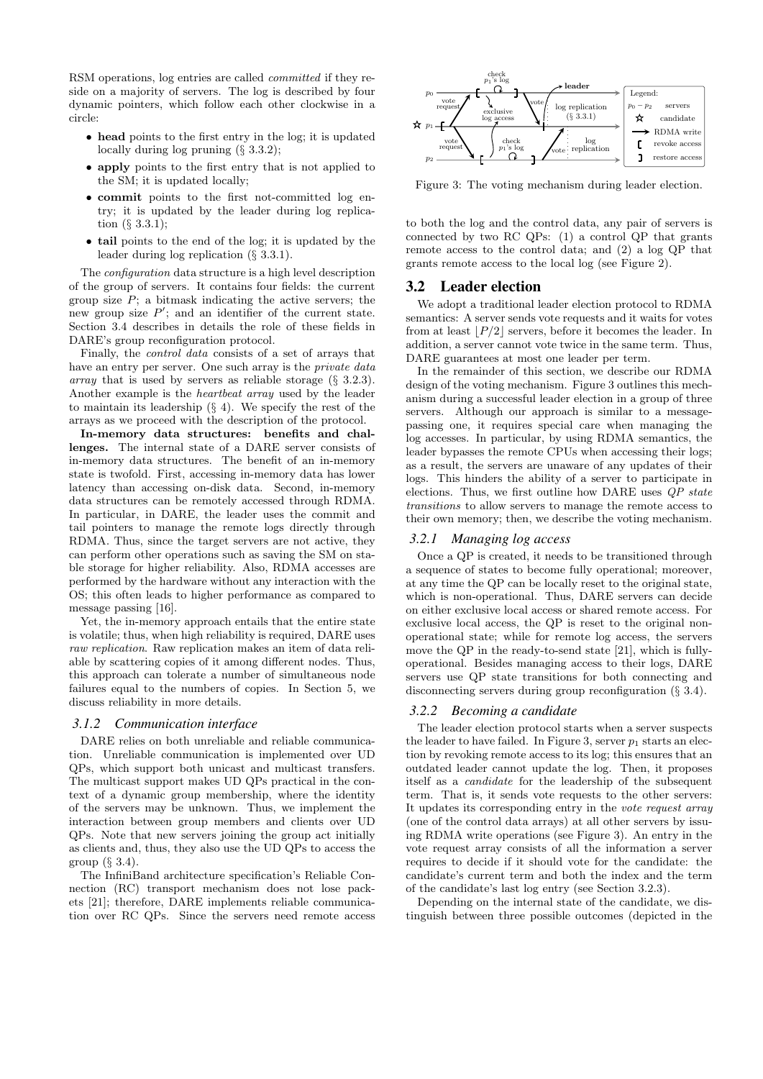RSM operations, log entries are called *committed* if they reside on a majority of servers. The log is described by four dynamic pointers, which follow each other clockwise in a circle:

- head points to the first entry in the log; it is updated locally during log pruning (§ 3.3.2);
- apply points to the first entry that is not applied to the SM; it is updated locally;
- commit points to the first not-committed log entry; it is updated by the leader during log replication (§ 3.3.1);
- tail points to the end of the log; it is updated by the leader during log replication (§ 3.3.1).

The configuration data structure is a high level description of the group of servers. It contains four fields: the current group size  $P$ ; a bitmask indicating the active servers; the new group size  $P'$ ; and an identifier of the current state. Section 3.4 describes in details the role of these fields in DARE's group reconfiguration protocol.

Finally, the control data consists of a set of arrays that have an entry per server. One such array is the *private data array* that is used by servers as reliable storage  $(\S 3.2.3)$ . Another example is the heartbeat array used by the leader to maintain its leadership (§ 4). We specify the rest of the arrays as we proceed with the description of the protocol.

In-memory data structures: benefits and challenges. The internal state of a DARE server consists of in-memory data structures. The benefit of an in-memory state is twofold. First, accessing in-memory data has lower latency than accessing on-disk data. Second, in-memory data structures can be remotely accessed through RDMA. In particular, in DARE, the leader uses the commit and tail pointers to manage the remote logs directly through RDMA. Thus, since the target servers are not active, they can perform other operations such as saving the SM on stable storage for higher reliability. Also, RDMA accesses are performed by the hardware without any interaction with the OS; this often leads to higher performance as compared to message passing [16].

Yet, the in-memory approach entails that the entire state is volatile; thus, when high reliability is required, DARE uses raw replication. Raw replication makes an item of data reliable by scattering copies of it among different nodes. Thus, this approach can tolerate a number of simultaneous node failures equal to the numbers of copies. In Section 5, we discuss reliability in more details.

#### *3.1.2 Communication interface*

DARE relies on both unreliable and reliable communication. Unreliable communication is implemented over UD QPs, which support both unicast and multicast transfers. The multicast support makes UD QPs practical in the context of a dynamic group membership, where the identity of the servers may be unknown. Thus, we implement the interaction between group members and clients over UD QPs. Note that new servers joining the group act initially as clients and, thus, they also use the UD QPs to access the group  $(\S 3.4)$ .

The InfiniBand architecture specification's Reliable Connection (RC) transport mechanism does not lose packets [21]; therefore, DARE implements reliable communication over RC QPs. Since the servers need remote access



Figure 3: The voting mechanism during leader election.

to both the log and the control data, any pair of servers is connected by two RC QPs: (1) a control QP that grants remote access to the control data; and (2) a log QP that grants remote access to the local log (see Figure 2).

#### 3.2 Leader election

We adopt a traditional leader election protocol to RDMA semantics: A server sends vote requests and it waits for votes from at least  $|P/2|$  servers, before it becomes the leader. In addition, a server cannot vote twice in the same term. Thus, DARE guarantees at most one leader per term.

In the remainder of this section, we describe our RDMA design of the voting mechanism. Figure 3 outlines this mechanism during a successful leader election in a group of three servers. Although our approach is similar to a messagepassing one, it requires special care when managing the log accesses. In particular, by using RDMA semantics, the leader bypasses the remote CPUs when accessing their logs; as a result, the servers are unaware of any updates of their logs. This hinders the ability of a server to participate in elections. Thus, we first outline how DARE uses  $QP$  state transitions to allow servers to manage the remote access to their own memory; then, we describe the voting mechanism.

#### *3.2.1 Managing log access*

Once a QP is created, it needs to be transitioned through a sequence of states to become fully operational; moreover, at any time the QP can be locally reset to the original state, which is non-operational. Thus, DARE servers can decide on either exclusive local access or shared remote access. For exclusive local access, the QP is reset to the original nonoperational state; while for remote log access, the servers move the QP in the ready-to-send state [21], which is fullyoperational. Besides managing access to their logs, DARE servers use QP state transitions for both connecting and disconnecting servers during group reconfiguration (§ 3.4).

#### *3.2.2 Becoming a candidate*

The leader election protocol starts when a server suspects the leader to have failed. In Figure 3, server  $p_1$  starts an election by revoking remote access to its log; this ensures that an outdated leader cannot update the log. Then, it proposes itself as a *candidate* for the leadership of the subsequent term. That is, it sends vote requests to the other servers: It updates its corresponding entry in the vote request array (one of the control data arrays) at all other servers by issuing RDMA write operations (see Figure 3). An entry in the vote request array consists of all the information a server requires to decide if it should vote for the candidate: the candidate's current term and both the index and the term of the candidate's last log entry (see Section 3.2.3).

Depending on the internal state of the candidate, we distinguish between three possible outcomes (depicted in the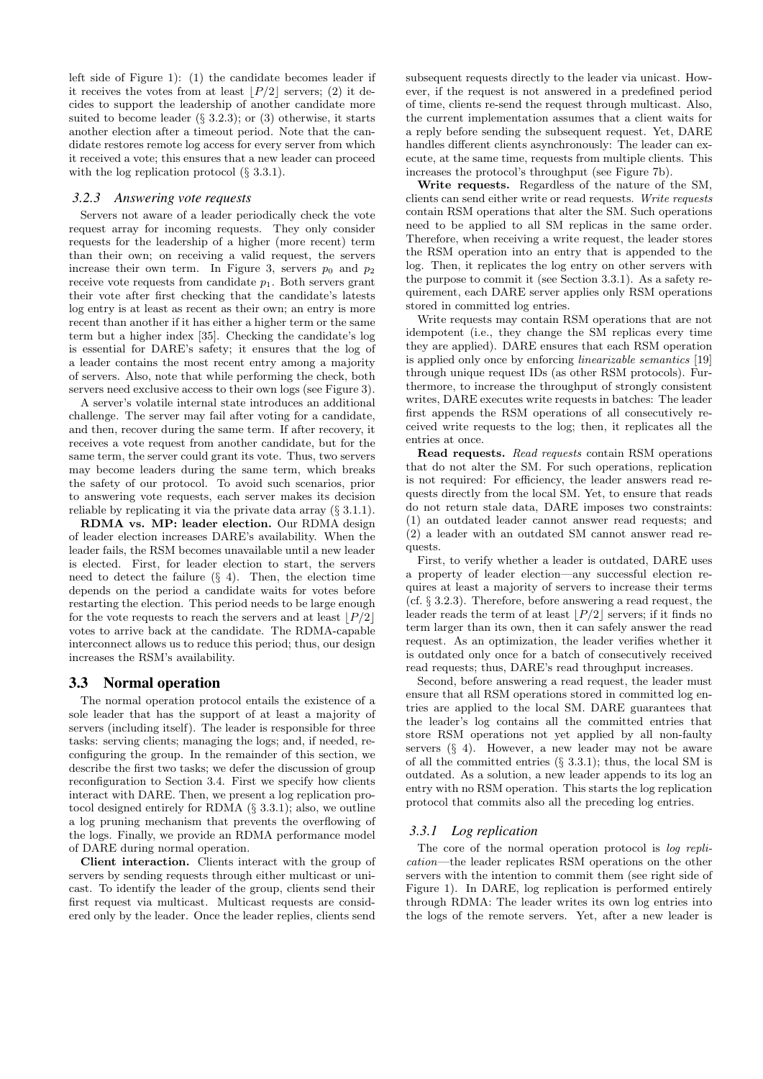left side of Figure 1): (1) the candidate becomes leader if it receives the votes from at least  $\lfloor P/2 \rfloor$  servers; (2) it decides to support the leadership of another candidate more suited to become leader  $(\S 3.2.3)$ ; or  $(3)$  otherwise, it starts another election after a timeout period. Note that the candidate restores remote log access for every server from which it received a vote; this ensures that a new leader can proceed with the log replication protocol (§ 3.3.1).

#### *3.2.3 Answering vote requests*

Servers not aware of a leader periodically check the vote request array for incoming requests. They only consider requests for the leadership of a higher (more recent) term than their own; on receiving a valid request, the servers increase their own term. In Figure 3, servers  $p_0$  and  $p_2$ receive vote requests from candidate  $p_1$ . Both servers grant their vote after first checking that the candidate's latests log entry is at least as recent as their own; an entry is more recent than another if it has either a higher term or the same term but a higher index [35]. Checking the candidate's log is essential for DARE's safety; it ensures that the log of a leader contains the most recent entry among a majority of servers. Also, note that while performing the check, both servers need exclusive access to their own logs (see Figure 3).

A server's volatile internal state introduces an additional challenge. The server may fail after voting for a candidate, and then, recover during the same term. If after recovery, it receives a vote request from another candidate, but for the same term, the server could grant its vote. Thus, two servers may become leaders during the same term, which breaks the safety of our protocol. To avoid such scenarios, prior to answering vote requests, each server makes its decision reliable by replicating it via the private data array (§ 3.1.1).

RDMA vs. MP: leader election. Our RDMA design of leader election increases DARE's availability. When the leader fails, the RSM becomes unavailable until a new leader is elected. First, for leader election to start, the servers need to detect the failure  $(\S 4)$ . Then, the election time depends on the period a candidate waits for votes before restarting the election. This period needs to be large enough for the vote requests to reach the servers and at least  $\vert P/2 \vert$ votes to arrive back at the candidate. The RDMA-capable interconnect allows us to reduce this period; thus, our design increases the RSM's availability.

# 3.3 Normal operation

The normal operation protocol entails the existence of a sole leader that has the support of at least a majority of servers (including itself). The leader is responsible for three tasks: serving clients; managing the logs; and, if needed, reconfiguring the group. In the remainder of this section, we describe the first two tasks; we defer the discussion of group reconfiguration to Section 3.4. First we specify how clients interact with DARE. Then, we present a log replication protocol designed entirely for RDMA (§ 3.3.1); also, we outline a log pruning mechanism that prevents the overflowing of the logs. Finally, we provide an RDMA performance model of DARE during normal operation.

Client interaction. Clients interact with the group of servers by sending requests through either multicast or unicast. To identify the leader of the group, clients send their first request via multicast. Multicast requests are considered only by the leader. Once the leader replies, clients send subsequent requests directly to the leader via unicast. However, if the request is not answered in a predefined period of time, clients re-send the request through multicast. Also, the current implementation assumes that a client waits for a reply before sending the subsequent request. Yet, DARE handles different clients asynchronously: The leader can execute, at the same time, requests from multiple clients. This increases the protocol's throughput (see Figure 7b).

Write requests. Regardless of the nature of the SM, clients can send either write or read requests. Write requests contain RSM operations that alter the SM. Such operations need to be applied to all SM replicas in the same order. Therefore, when receiving a write request, the leader stores the RSM operation into an entry that is appended to the log. Then, it replicates the log entry on other servers with the purpose to commit it (see Section 3.3.1). As a safety requirement, each DARE server applies only RSM operations stored in committed log entries.

Write requests may contain RSM operations that are not idempotent (i.e., they change the SM replicas every time they are applied). DARE ensures that each RSM operation is applied only once by enforcing linearizable semantics [19] through unique request IDs (as other RSM protocols). Furthermore, to increase the throughput of strongly consistent writes, DARE executes write requests in batches: The leader first appends the RSM operations of all consecutively received write requests to the log; then, it replicates all the entries at once.

Read requests. Read requests contain RSM operations that do not alter the SM. For such operations, replication is not required: For efficiency, the leader answers read requests directly from the local SM. Yet, to ensure that reads do not return stale data, DARE imposes two constraints: (1) an outdated leader cannot answer read requests; and (2) a leader with an outdated SM cannot answer read requests.

First, to verify whether a leader is outdated, DARE uses a property of leader election—any successful election requires at least a majority of servers to increase their terms (cf. § 3.2.3). Therefore, before answering a read request, the leader reads the term of at least  $|P/2|$  servers; if it finds no term larger than its own, then it can safely answer the read request. As an optimization, the leader verifies whether it is outdated only once for a batch of consecutively received read requests; thus, DARE's read throughput increases.

Second, before answering a read request, the leader must ensure that all RSM operations stored in committed log entries are applied to the local SM. DARE guarantees that the leader's log contains all the committed entries that store RSM operations not yet applied by all non-faulty servers (§ 4). However, a new leader may not be aware of all the committed entries  $(\S$  3.3.1); thus, the local SM is outdated. As a solution, a new leader appends to its log an entry with no RSM operation. This starts the log replication protocol that commits also all the preceding log entries.

# *3.3.1 Log replication*

The core of the normal operation protocol is log replication—the leader replicates RSM operations on the other servers with the intention to commit them (see right side of Figure 1). In DARE, log replication is performed entirely through RDMA: The leader writes its own log entries into the logs of the remote servers. Yet, after a new leader is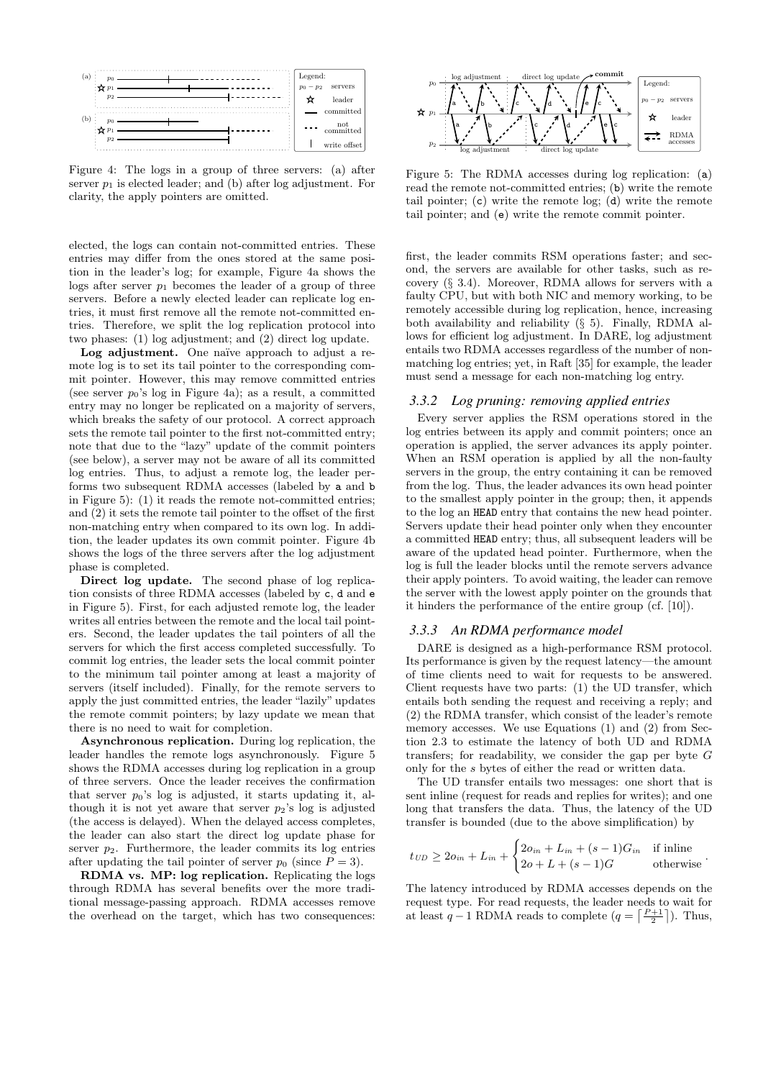

Figure 4: The logs in a group of three servers: (a) after server  $p_1$  is elected leader; and (b) after log adjustment. For clarity, the apply pointers are omitted.

elected, the logs can contain not-committed entries. These entries may differ from the ones stored at the same position in the leader's log; for example, Figure 4a shows the logs after server  $p_1$  becomes the leader of a group of three servers. Before a newly elected leader can replicate log entries, it must first remove all the remote not-committed entries. Therefore, we split the log replication protocol into two phases: (1) log adjustment; and (2) direct log update.

Log adjustment. One naïve approach to adjust a remote log is to set its tail pointer to the corresponding commit pointer. However, this may remove committed entries (see server  $p_0$ 's log in Figure 4a); as a result, a committed entry may no longer be replicated on a majority of servers, which breaks the safety of our protocol. A correct approach sets the remote tail pointer to the first not-committed entry; note that due to the "lazy" update of the commit pointers (see below), a server may not be aware of all its committed log entries. Thus, to adjust a remote log, the leader performs two subsequent RDMA accesses (labeled by a and b in Figure 5): (1) it reads the remote not-committed entries; and (2) it sets the remote tail pointer to the offset of the first non-matching entry when compared to its own log. In addition, the leader updates its own commit pointer. Figure 4b shows the logs of the three servers after the log adjustment phase is completed.

Direct log update. The second phase of log replication consists of three RDMA accesses (labeled by c, d and e in Figure 5). First, for each adjusted remote log, the leader writes all entries between the remote and the local tail pointers. Second, the leader updates the tail pointers of all the servers for which the first access completed successfully. To commit log entries, the leader sets the local commit pointer to the minimum tail pointer among at least a majority of servers (itself included). Finally, for the remote servers to apply the just committed entries, the leader "lazily" updates the remote commit pointers; by lazy update we mean that there is no need to wait for completion.

Asynchronous replication. During log replication, the leader handles the remote logs asynchronously. Figure 5 shows the RDMA accesses during log replication in a group of three servers. Once the leader receives the confirmation that server  $p_0$ 's log is adjusted, it starts updating it, although it is not yet aware that server  $p_2$ 's log is adjusted (the access is delayed). When the delayed access completes, the leader can also start the direct log update phase for server  $p_2$ . Furthermore, the leader commits its log entries after updating the tail pointer of server  $p_0$  (since  $P = 3$ ).

RDMA vs. MP: log replication. Replicating the logs through RDMA has several benefits over the more traditional message-passing approach. RDMA accesses remove the overhead on the target, which has two consequences:



Figure 5: The RDMA accesses during log replication: (a) read the remote not-committed entries; (b) write the remote tail pointer; (c) write the remote log; (d) write the remote tail pointer; and (e) write the remote commit pointer.

first, the leader commits RSM operations faster; and second, the servers are available for other tasks, such as recovery (§ 3.4). Moreover, RDMA allows for servers with a faulty CPU, but with both NIC and memory working, to be remotely accessible during log replication, hence, increasing both availability and reliability (§ 5). Finally, RDMA allows for efficient log adjustment. In DARE, log adjustment entails two RDMA accesses regardless of the number of nonmatching log entries; yet, in Raft [35] for example, the leader must send a message for each non-matching log entry.

#### *3.3.2 Log pruning: removing applied entries*

Every server applies the RSM operations stored in the log entries between its apply and commit pointers; once an operation is applied, the server advances its apply pointer. When an RSM operation is applied by all the non-faulty servers in the group, the entry containing it can be removed from the log. Thus, the leader advances its own head pointer to the smallest apply pointer in the group; then, it appends to the log an HEAD entry that contains the new head pointer. Servers update their head pointer only when they encounter a committed HEAD entry; thus, all subsequent leaders will be aware of the updated head pointer. Furthermore, when the log is full the leader blocks until the remote servers advance their apply pointers. To avoid waiting, the leader can remove the server with the lowest apply pointer on the grounds that it hinders the performance of the entire group (cf. [10]).

#### *3.3.3 An RDMA performance model*

DARE is designed as a high-performance RSM protocol. Its performance is given by the request latency—the amount of time clients need to wait for requests to be answered. Client requests have two parts: (1) the UD transfer, which entails both sending the request and receiving a reply; and (2) the RDMA transfer, which consist of the leader's remote memory accesses. We use Equations (1) and (2) from Section 2.3 to estimate the latency of both UD and RDMA transfers; for readability, we consider the gap per byte G only for the s bytes of either the read or written data.

The UD transfer entails two messages: one short that is sent inline (request for reads and replies for writes); and one long that transfers the data. Thus, the latency of the UD transfer is bounded (due to the above simplification) by

$$
t_{UD} \ge 2o_{in} + L_{in} + \begin{cases} 2o_{in} + L_{in} + (s-1)G_{in} & \text{if inline} \\ 2o + L + (s-1)G & \text{otherwise} \end{cases}.
$$

The latency introduced by RDMA accesses depends on the request type. For read requests, the leader needs to wait for at least  $q-1$  RDMA reads to complete  $(q = \lceil \frac{P+1}{2} \rceil)$ . Thus,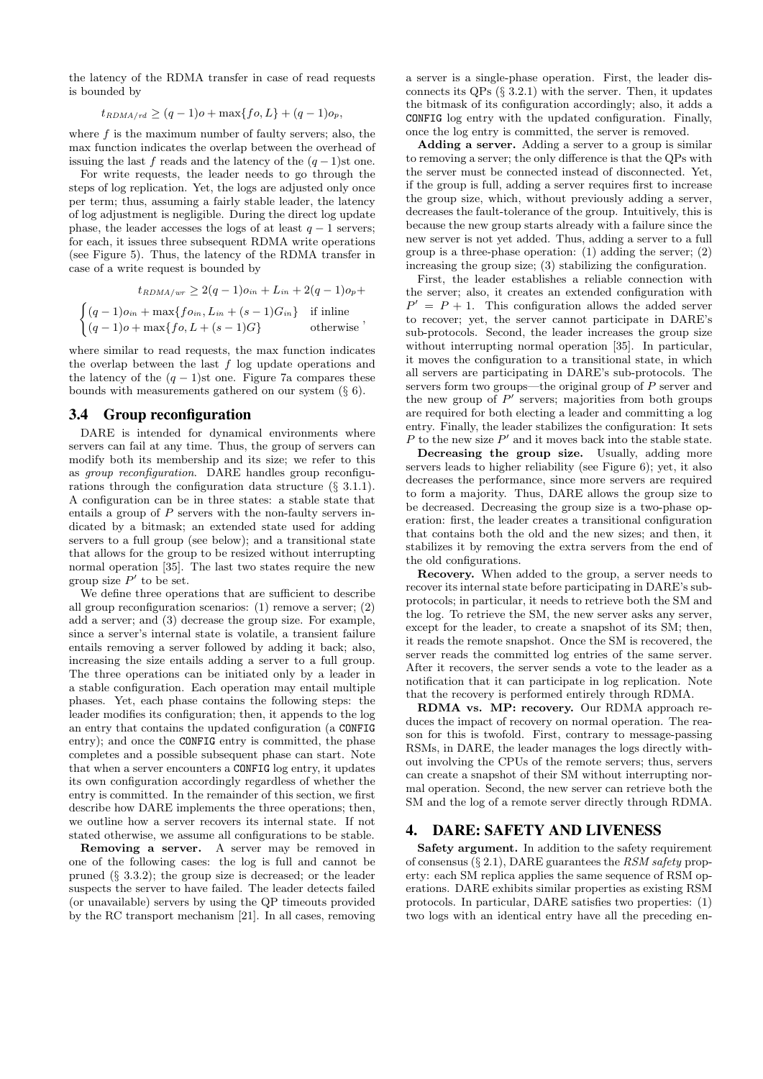the latency of the RDMA transfer in case of read requests is bounded by

$$
t_{RDMA/rd} \ge (q-1)o + \max\{fo, L\} + (q-1)o_p,
$$

where  $f$  is the maximum number of faulty servers; also, the max function indicates the overlap between the overhead of issuing the last f reads and the latency of the  $(q-1)$ st one.

For write requests, the leader needs to go through the steps of log replication. Yet, the logs are adjusted only once per term; thus, assuming a fairly stable leader, the latency of log adjustment is negligible. During the direct log update phase, the leader accesses the logs of at least  $q - 1$  servers; for each, it issues three subsequent RDMA write operations (see Figure 5). Thus, the latency of the RDMA transfer in case of a write request is bounded by

$$
t_{RDMA/wr} \ge 2(q-1)o_{in} + L_{in} + 2(q-1)o_p +
$$
  
\n
$$
\begin{cases}\n(q-1)o_{in} + \max\{fo_{in}, L_{in} + (s-1)G_{in}\} & \text{if inline} \\
(q-1)o + \max\{fo, L + (s-1)G\} & \text{otherwise}\n\end{cases}
$$

where similar to read requests, the max function indicates the overlap between the last f log update operations and the latency of the  $(q - 1)$ st one. Figure 7a compares these bounds with measurements gathered on our system (§ 6).

# 3.4 Group reconfiguration

DARE is intended for dynamical environments where servers can fail at any time. Thus, the group of servers can modify both its membership and its size; we refer to this as group reconfiguration. DARE handles group reconfigurations through the configuration data structure (§ 3.1.1). A configuration can be in three states: a stable state that entails a group of  $P$  servers with the non-faulty servers indicated by a bitmask; an extended state used for adding servers to a full group (see below); and a transitional state that allows for the group to be resized without interrupting normal operation [35]. The last two states require the new group size  $P'$  to be set.

We define three operations that are sufficient to describe all group reconfiguration scenarios: (1) remove a server; (2) add a server; and (3) decrease the group size. For example, since a server's internal state is volatile, a transient failure entails removing a server followed by adding it back; also, increasing the size entails adding a server to a full group. The three operations can be initiated only by a leader in a stable configuration. Each operation may entail multiple phases. Yet, each phase contains the following steps: the leader modifies its configuration; then, it appends to the log an entry that contains the updated configuration (a CONFIG entry); and once the CONFIG entry is committed, the phase completes and a possible subsequent phase can start. Note that when a server encounters a CONFIG log entry, it updates its own configuration accordingly regardless of whether the entry is committed. In the remainder of this section, we first describe how DARE implements the three operations; then, we outline how a server recovers its internal state. If not stated otherwise, we assume all configurations to be stable.

Removing a server. A server may be removed in one of the following cases: the log is full and cannot be pruned (§ 3.3.2); the group size is decreased; or the leader suspects the server to have failed. The leader detects failed (or unavailable) servers by using the QP timeouts provided by the RC transport mechanism [21]. In all cases, removing

a server is a single-phase operation. First, the leader disconnects its  $QPs$  (§ 3.2.1) with the server. Then, it updates the bitmask of its configuration accordingly; also, it adds a CONFIG log entry with the updated configuration. Finally, once the log entry is committed, the server is removed.

Adding a server. Adding a server to a group is similar to removing a server; the only difference is that the QPs with the server must be connected instead of disconnected. Yet, if the group is full, adding a server requires first to increase the group size, which, without previously adding a server, decreases the fault-tolerance of the group. Intuitively, this is because the new group starts already with a failure since the new server is not yet added. Thus, adding a server to a full group is a three-phase operation: (1) adding the server; (2) increasing the group size; (3) stabilizing the configuration.

First, the leader establishes a reliable connection with the server; also, it creates an extended configuration with  $P' = P + 1$ . This configuration allows the added server to recover; yet, the server cannot participate in DARE's sub-protocols. Second, the leader increases the group size without interrupting normal operation [35]. In particular, it moves the configuration to a transitional state, in which all servers are participating in DARE's sub-protocols. The servers form two groups—the original group of P server and the new group of  $P'$  servers; majorities from both groups are required for both electing a leader and committing a log entry. Finally, the leader stabilizes the configuration: It sets  $P$  to the new size  $P'$  and it moves back into the stable state.

Decreasing the group size. Usually, adding more servers leads to higher reliability (see Figure 6); yet, it also decreases the performance, since more servers are required to form a majority. Thus, DARE allows the group size to be decreased. Decreasing the group size is a two-phase operation: first, the leader creates a transitional configuration that contains both the old and the new sizes; and then, it stabilizes it by removing the extra servers from the end of the old configurations.

Recovery. When added to the group, a server needs to recover its internal state before participating in DARE's subprotocols; in particular, it needs to retrieve both the SM and the log. To retrieve the SM, the new server asks any server, except for the leader, to create a snapshot of its SM; then, it reads the remote snapshot. Once the SM is recovered, the server reads the committed log entries of the same server. After it recovers, the server sends a vote to the leader as a notification that it can participate in log replication. Note that the recovery is performed entirely through RDMA.

RDMA vs. MP: recovery. Our RDMA approach reduces the impact of recovery on normal operation. The reason for this is twofold. First, contrary to message-passing RSMs, in DARE, the leader manages the logs directly without involving the CPUs of the remote servers; thus, servers can create a snapshot of their SM without interrupting normal operation. Second, the new server can retrieve both the SM and the log of a remote server directly through RDMA.

# 4. DARE: SAFETY AND LIVENESS

Safety argument. In addition to the safety requirement of consensus  $(\S 2.1)$ , DARE guarantees the RSM safety property: each SM replica applies the same sequence of RSM operations. DARE exhibits similar properties as existing RSM protocols. In particular, DARE satisfies two properties: (1) two logs with an identical entry have all the preceding en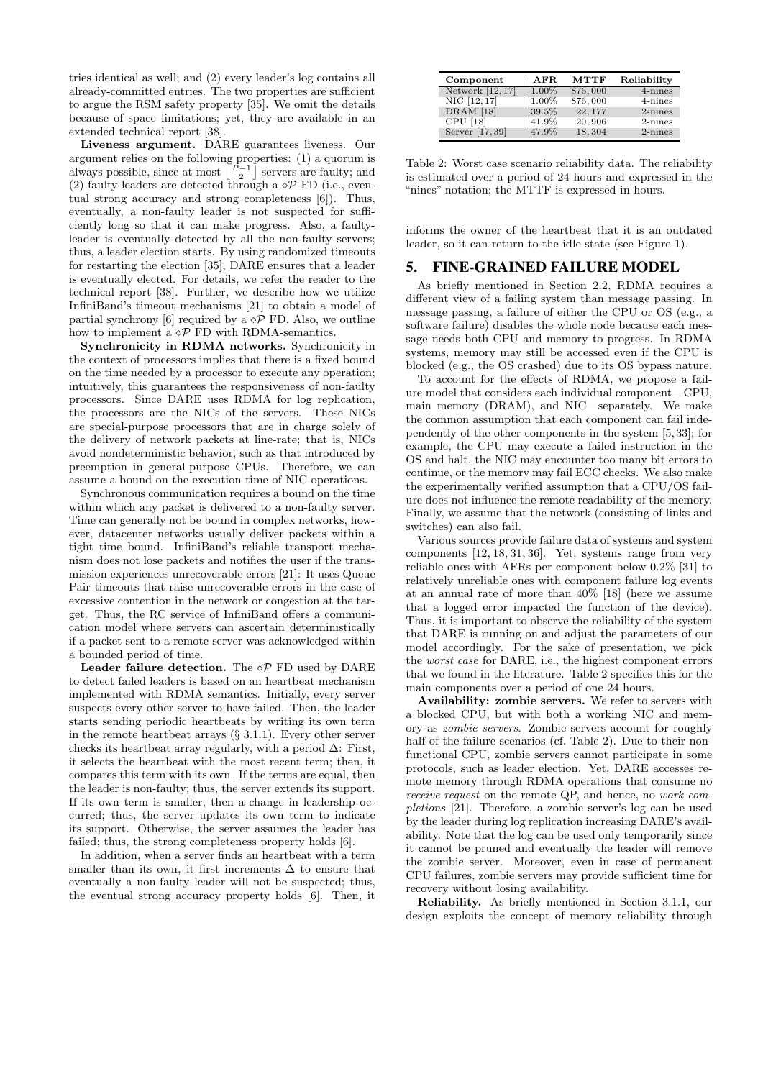tries identical as well; and (2) every leader's log contains all already-committed entries. The two properties are sufficient to argue the RSM safety property [35]. We omit the details because of space limitations; yet, they are available in an extended technical report [38].

Liveness argument. DARE guarantees liveness. Our argument relies on the following properties: (1) a quorum is always possible, since at most  $\left\lfloor \frac{P-1}{2} \right\rfloor$  servers are faulty; and (2) faulty-leaders are detected through a  $\Diamond \mathcal{P}$  FD (i.e., eventual strong accuracy and strong completeness [6]). Thus, eventually, a non-faulty leader is not suspected for sufficiently long so that it can make progress. Also, a faultyleader is eventually detected by all the non-faulty servers; thus, a leader election starts. By using randomized timeouts for restarting the election [35], DARE ensures that a leader is eventually elected. For details, we refer the reader to the technical report [38]. Further, we describe how we utilize InfiniBand's timeout mechanisms [21] to obtain a model of partial synchrony [6] required by a  $\Diamond \mathcal{P}$  FD. Also, we outline how to implement a  $\Diamond \mathcal{P}$  FD with RDMA-semantics.

Synchronicity in RDMA networks. Synchronicity in the context of processors implies that there is a fixed bound on the time needed by a processor to execute any operation; intuitively, this guarantees the responsiveness of non-faulty processors. Since DARE uses RDMA for log replication, the processors are the NICs of the servers. These NICs are special-purpose processors that are in charge solely of the delivery of network packets at line-rate; that is, NICs avoid nondeterministic behavior, such as that introduced by preemption in general-purpose CPUs. Therefore, we can assume a bound on the execution time of NIC operations.

Synchronous communication requires a bound on the time within which any packet is delivered to a non-faulty server. Time can generally not be bound in complex networks, however, datacenter networks usually deliver packets within a tight time bound. InfiniBand's reliable transport mechanism does not lose packets and notifies the user if the transmission experiences unrecoverable errors [21]: It uses Queue Pair timeouts that raise unrecoverable errors in the case of excessive contention in the network or congestion at the target. Thus, the RC service of InfiniBand offers a communication model where servers can ascertain deterministically if a packet sent to a remote server was acknowledged within a bounded period of time.

Leader failure detection. The  $\Diamond \mathcal{P}$  FD used by DARE to detect failed leaders is based on an heartbeat mechanism implemented with RDMA semantics. Initially, every server suspects every other server to have failed. Then, the leader starts sending periodic heartbeats by writing its own term in the remote heartbeat arrays (§ 3.1.1). Every other server checks its heartbeat array regularly, with a period  $\Delta$ : First, it selects the heartbeat with the most recent term; then, it compares this term with its own. If the terms are equal, then the leader is non-faulty; thus, the server extends its support. If its own term is smaller, then a change in leadership occurred; thus, the server updates its own term to indicate its support. Otherwise, the server assumes the leader has failed; thus, the strong completeness property holds [6].

In addition, when a server finds an heartbeat with a term smaller than its own, it first increments  $\Delta$  to ensure that eventually a non-faulty leader will not be suspected; thus, the eventual strong accuracy property holds [6]. Then, it

| Component        | $_{\rm AFR}$ | <b>MTTF</b> | Reliability |
|------------------|--------------|-------------|-------------|
| Network [12, 17] | 1.00%        | 876,000     | 4-nines     |
| NIC [12,17]      | 1.00%        | 876,000     | 4-nines     |
| <b>DRAM</b> [18] | 39.5%        | 22, 177     | $2$ -nines  |
| CPU [18]         | 41.9%        | 20,906      | $2$ -nines  |
| Server [17, 39]  | 47.9%        | 18,304      | $2$ -nines  |

Table 2: Worst case scenario reliability data. The reliability is estimated over a period of 24 hours and expressed in the "nines" notation; the MTTF is expressed in hours.

informs the owner of the heartbeat that it is an outdated leader, so it can return to the idle state (see Figure 1).

## 5. FINE-GRAINED FAILURE MODEL

As briefly mentioned in Section 2.2, RDMA requires a different view of a failing system than message passing. In message passing, a failure of either the CPU or OS (e.g., a software failure) disables the whole node because each message needs both CPU and memory to progress. In RDMA systems, memory may still be accessed even if the CPU is blocked (e.g., the OS crashed) due to its OS bypass nature.

To account for the effects of RDMA, we propose a failure model that considers each individual component—CPU, main memory (DRAM), and NIC—separately. We make the common assumption that each component can fail independently of the other components in the system [5, 33]; for example, the CPU may execute a failed instruction in the OS and halt, the NIC may encounter too many bit errors to continue, or the memory may fail ECC checks. We also make the experimentally verified assumption that a CPU/OS failure does not influence the remote readability of the memory. Finally, we assume that the network (consisting of links and switches) can also fail.

Various sources provide failure data of systems and system components [12, 18, 31, 36]. Yet, systems range from very reliable ones with AFRs per component below 0.2% [31] to relatively unreliable ones with component failure log events at an annual rate of more than 40% [18] (here we assume that a logged error impacted the function of the device). Thus, it is important to observe the reliability of the system that DARE is running on and adjust the parameters of our model accordingly. For the sake of presentation, we pick the worst case for DARE, i.e., the highest component errors that we found in the literature. Table 2 specifies this for the main components over a period of one 24 hours.

Availability: zombie servers. We refer to servers with a blocked CPU, but with both a working NIC and memory as zombie servers. Zombie servers account for roughly half of the failure scenarios (cf. Table 2). Due to their nonfunctional CPU, zombie servers cannot participate in some protocols, such as leader election. Yet, DARE accesses remote memory through RDMA operations that consume no receive request on the remote QP, and hence, no work completions [21]. Therefore, a zombie server's log can be used by the leader during log replication increasing DARE's availability. Note that the log can be used only temporarily since it cannot be pruned and eventually the leader will remove the zombie server. Moreover, even in case of permanent CPU failures, zombie servers may provide sufficient time for recovery without losing availability.

Reliability. As briefly mentioned in Section 3.1.1, our design exploits the concept of memory reliability through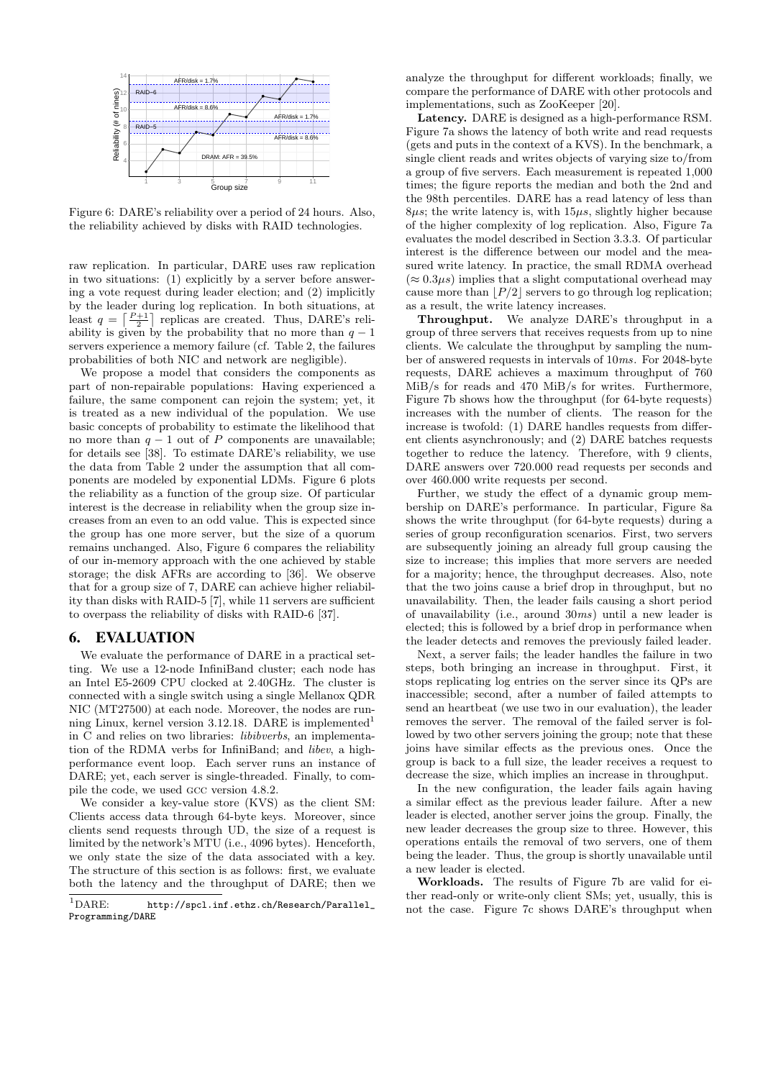

Figure 6: DARE's reliability over a period of 24 hours. Also, the reliability achieved by disks with RAID technologies.

raw replication. In particular, DARE uses raw replication in two situations: (1) explicitly by a server before answering a vote request during leader election; and (2) implicitly by the leader during log replication. In both situations, at least  $q = \lceil \frac{P+1}{2} \rceil$  replicas are created. Thus, DARE's reliability is given by the probability that no more than  $q - 1$ servers experience a memory failure (cf. Table 2, the failures probabilities of both NIC and network are negligible).

We propose a model that considers the components as part of non-repairable populations: Having experienced a failure, the same component can rejoin the system; yet, it is treated as a new individual of the population. We use basic concepts of probability to estimate the likelihood that no more than  $q - 1$  out of P components are unavailable; for details see [38]. To estimate DARE's reliability, we use the data from Table 2 under the assumption that all components are modeled by exponential LDMs. Figure 6 plots the reliability as a function of the group size. Of particular interest is the decrease in reliability when the group size increases from an even to an odd value. This is expected since the group has one more server, but the size of a quorum remains unchanged. Also, Figure 6 compares the reliability of our in-memory approach with the one achieved by stable storage; the disk AFRs are according to [36]. We observe that for a group size of 7, DARE can achieve higher reliability than disks with RAID-5 [7], while 11 servers are sufficient to overpass the reliability of disks with RAID-6 [37].

## 6. EVALUATION

We evaluate the performance of DARE in a practical setting. We use a 12-node InfiniBand cluster; each node has an Intel E5-2609 CPU clocked at 2.40GHz. The cluster is connected with a single switch using a single Mellanox QDR NIC (MT27500) at each node. Moreover, the nodes are running Linux, kernel version 3.12.18. DARE is implemented<sup>1</sup> in C and relies on two libraries: libibverbs, an implementation of the RDMA verbs for InfiniBand; and libev, a highperformance event loop. Each server runs an instance of DARE; yet, each server is single-threaded. Finally, to compile the code, we used gcc version 4.8.2.

We consider a key-value store (KVS) as the client SM: Clients access data through 64-byte keys. Moreover, since clients send requests through UD, the size of a request is limited by the network's MTU (i.e., 4096 bytes). Henceforth, we only state the size of the data associated with a key. The structure of this section is as follows: first, we evaluate both the latency and the throughput of DARE; then we

analyze the throughput for different workloads; finally, we compare the performance of DARE with other protocols and implementations, such as ZooKeeper [20].

Latency. DARE is designed as a high-performance RSM. Figure 7a shows the latency of both write and read requests (gets and puts in the context of a KVS). In the benchmark, a single client reads and writes objects of varying size to/from a group of five servers. Each measurement is repeated 1,000 times; the figure reports the median and both the 2nd and the 98th percentiles. DARE has a read latency of less than  $8\mu s$ ; the write latency is, with  $15\mu s$ , slightly higher because of the higher complexity of log replication. Also, Figure 7a evaluates the model described in Section 3.3.3. Of particular interest is the difference between our model and the measured write latency. In practice, the small RDMA overhead  $(\approx 0.3 \mu s)$  implies that a slight computational overhead may cause more than  $\lfloor P/2 \rfloor$  servers to go through log replication; as a result, the write latency increases.

Throughput. We analyze DARE's throughput in a group of three servers that receives requests from up to nine clients. We calculate the throughput by sampling the number of answered requests in intervals of 10ms. For 2048-byte requests, DARE achieves a maximum throughput of 760 MiB/s for reads and 470 MiB/s for writes. Furthermore, Figure 7b shows how the throughput (for 64-byte requests) increases with the number of clients. The reason for the increase is twofold: (1) DARE handles requests from different clients asynchronously; and (2) DARE batches requests together to reduce the latency. Therefore, with 9 clients, DARE answers over 720.000 read requests per seconds and over 460.000 write requests per second.

Further, we study the effect of a dynamic group membership on DARE's performance. In particular, Figure 8a shows the write throughput (for 64-byte requests) during a series of group reconfiguration scenarios. First, two servers are subsequently joining an already full group causing the size to increase; this implies that more servers are needed for a majority; hence, the throughput decreases. Also, note that the two joins cause a brief drop in throughput, but no unavailability. Then, the leader fails causing a short period of unavailability (i.e., around 30ms) until a new leader is elected; this is followed by a brief drop in performance when the leader detects and removes the previously failed leader.

Next, a server fails; the leader handles the failure in two steps, both bringing an increase in throughput. First, it stops replicating log entries on the server since its QPs are inaccessible; second, after a number of failed attempts to send an heartbeat (we use two in our evaluation), the leader removes the server. The removal of the failed server is followed by two other servers joining the group; note that these joins have similar effects as the previous ones. Once the group is back to a full size, the leader receives a request to decrease the size, which implies an increase in throughput.

In the new configuration, the leader fails again having a similar effect as the previous leader failure. After a new leader is elected, another server joins the group. Finally, the new leader decreases the group size to three. However, this operations entails the removal of two servers, one of them being the leader. Thus, the group is shortly unavailable until a new leader is elected.

Workloads. The results of Figure 7b are valid for either read-only or write-only client SMs; yet, usually, this is not the case. Figure 7c shows DARE's throughput when

 $1$ DARE: http://spcl.inf.ethz.ch/Research/Parallel\_ Programming/DARE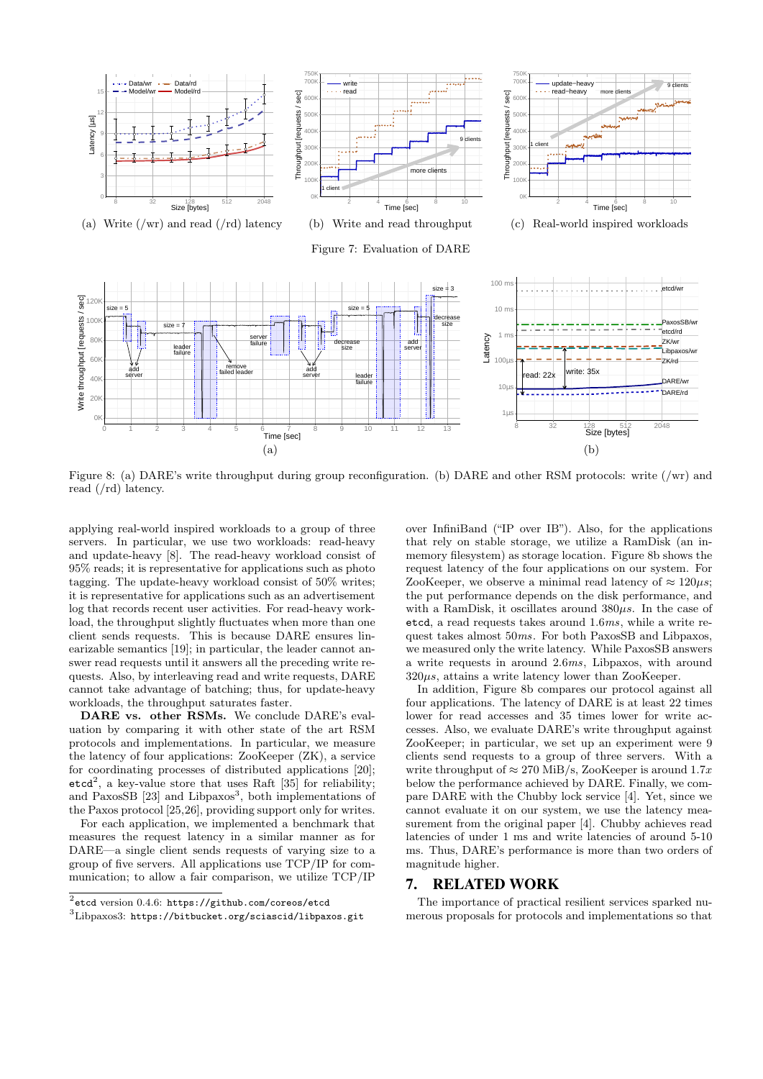

Figure 8: (a) DARE's write throughput during group reconfiguration. (b) DARE and other RSM protocols: write (/wr) and read (/rd) latency.

applying real-world inspired workloads to a group of three servers. In particular, we use two workloads: read-heavy and update-heavy [8]. The read-heavy workload consist of 95% reads; it is representative for applications such as photo tagging. The update-heavy workload consist of 50% writes; it is representative for applications such as an advertisement log that records recent user activities. For read-heavy workload, the throughput slightly fluctuates when more than one client sends requests. This is because DARE ensures linearizable semantics [19]; in particular, the leader cannot answer read requests until it answers all the preceding write requests. Also, by interleaving read and write requests, DARE cannot take advantage of batching; thus, for update-heavy workloads, the throughput saturates faster.

DARE vs. other RSMs. We conclude DARE's evaluation by comparing it with other state of the art RSM protocols and implementations. In particular, we measure the latency of four applications: ZooKeeper (ZK), a service for coordinating processes of distributed applications [20];  $\texttt{etcd}^2$ , a key-value store that uses Raft [35] for reliability; and PaxosSB  $[23]$  and Libpaxos<sup>3</sup>, both implementations of the Paxos protocol [25,26], providing support only for writes.

For each application, we implemented a benchmark that measures the request latency in a similar manner as for DARE—a single client sends requests of varying size to a group of five servers. All applications use TCP/IP for communication; to allow a fair comparison, we utilize TCP/IP

over InfiniBand ("IP over IB"). Also, for the applications that rely on stable storage, we utilize a RamDisk (an inmemory filesystem) as storage location. Figure 8b shows the request latency of the four applications on our system. For ZooKeeper, we observe a minimal read latency of  $\approx 120 \mu s$ ; the put performance depends on the disk performance, and with a RamDisk, it oscillates around  $380\mu s$ . In the case of etcd, a read requests takes around 1.6ms, while a write request takes almost 50ms. For both PaxosSB and Libpaxos, we measured only the write latency. While PaxosSB answers a write requests in around 2.6ms, Libpaxos, with around  $320\mu s$ , attains a write latency lower than ZooKeeper.

In addition, Figure 8b compares our protocol against all four applications. The latency of DARE is at least 22 times lower for read accesses and 35 times lower for write accesses. Also, we evaluate DARE's write throughput against ZooKeeper; in particular, we set up an experiment were 9 clients send requests to a group of three servers. With a write throughput of  $\approx 270$  MiB/s, ZooKeeper is around 1.7x below the performance achieved by DARE. Finally, we compare DARE with the Chubby lock service [4]. Yet, since we cannot evaluate it on our system, we use the latency measurement from the original paper [4]. Chubby achieves read latencies of under 1 ms and write latencies of around 5-10 ms. Thus, DARE's performance is more than two orders of magnitude higher.

### 7. RELATED WORK

The importance of practical resilient services sparked numerous proposals for protocols and implementations so that

 $^{2}$ etcd version 0.4.6: https://github.com/coreos/etcd

 ${}^{3}$ Libpaxos3: https://bitbucket.org/sciascid/libpaxos.git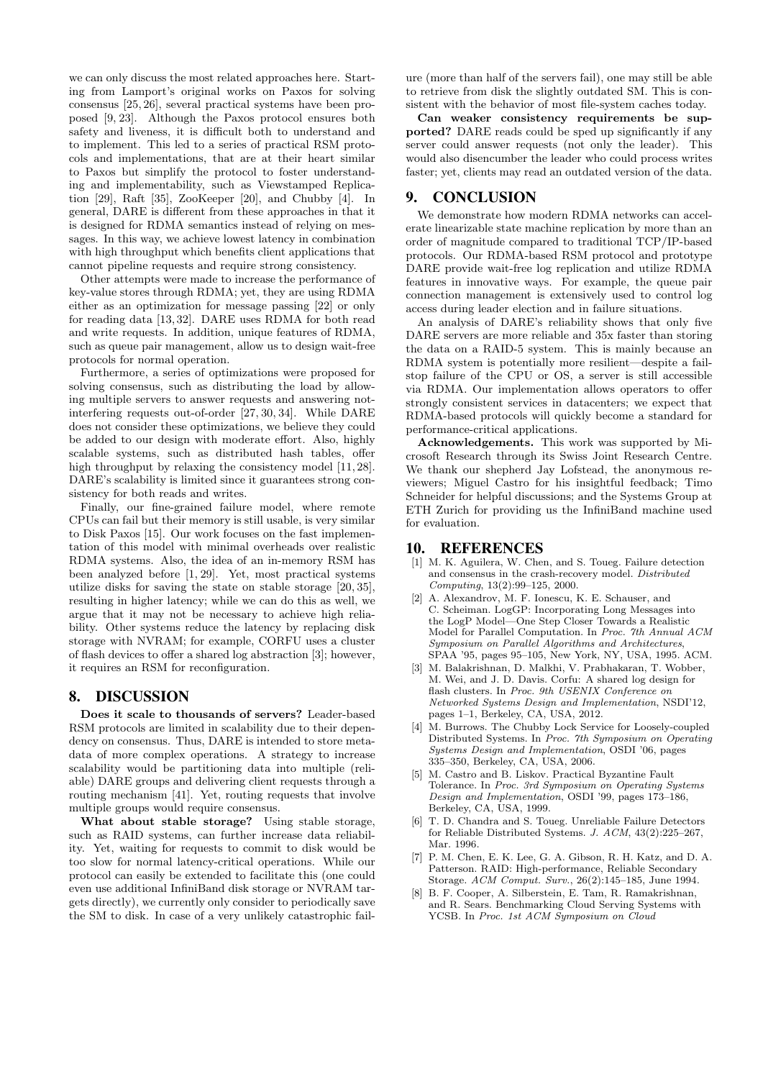we can only discuss the most related approaches here. Starting from Lamport's original works on Paxos for solving consensus [25, 26], several practical systems have been proposed [9, 23]. Although the Paxos protocol ensures both safety and liveness, it is difficult both to understand and to implement. This led to a series of practical RSM protocols and implementations, that are at their heart similar to Paxos but simplify the protocol to foster understanding and implementability, such as Viewstamped Replication [29], Raft [35], ZooKeeper [20], and Chubby [4]. In general, DARE is different from these approaches in that it is designed for RDMA semantics instead of relying on messages. In this way, we achieve lowest latency in combination with high throughput which benefits client applications that cannot pipeline requests and require strong consistency.

Other attempts were made to increase the performance of key-value stores through RDMA; yet, they are using RDMA either as an optimization for message passing [22] or only for reading data [13, 32]. DARE uses RDMA for both read and write requests. In addition, unique features of RDMA, such as queue pair management, allow us to design wait-free protocols for normal operation.

Furthermore, a series of optimizations were proposed for solving consensus, such as distributing the load by allowing multiple servers to answer requests and answering notinterfering requests out-of-order [27, 30, 34]. While DARE does not consider these optimizations, we believe they could be added to our design with moderate effort. Also, highly scalable systems, such as distributed hash tables, offer high throughput by relaxing the consistency model [11, 28]. DARE's scalability is limited since it guarantees strong consistency for both reads and writes.

Finally, our fine-grained failure model, where remote CPUs can fail but their memory is still usable, is very similar to Disk Paxos [15]. Our work focuses on the fast implementation of this model with minimal overheads over realistic RDMA systems. Also, the idea of an in-memory RSM has been analyzed before [1, 29]. Yet, most practical systems utilize disks for saving the state on stable storage [20, 35], resulting in higher latency; while we can do this as well, we argue that it may not be necessary to achieve high reliability. Other systems reduce the latency by replacing disk storage with NVRAM; for example, CORFU uses a cluster of flash devices to offer a shared log abstraction [3]; however, it requires an RSM for reconfiguration.

## 8. DISCUSSION

Does it scale to thousands of servers? Leader-based RSM protocols are limited in scalability due to their dependency on consensus. Thus, DARE is intended to store metadata of more complex operations. A strategy to increase scalability would be partitioning data into multiple (reliable) DARE groups and delivering client requests through a routing mechanism [41]. Yet, routing requests that involve multiple groups would require consensus.

What about stable storage? Using stable storage, such as RAID systems, can further increase data reliability. Yet, waiting for requests to commit to disk would be too slow for normal latency-critical operations. While our protocol can easily be extended to facilitate this (one could even use additional InfiniBand disk storage or NVRAM targets directly), we currently only consider to periodically save the SM to disk. In case of a very unlikely catastrophic fail-

ure (more than half of the servers fail), one may still be able to retrieve from disk the slightly outdated SM. This is consistent with the behavior of most file-system caches today.

Can weaker consistency requirements be supported? DARE reads could be sped up significantly if any server could answer requests (not only the leader). This would also disencumber the leader who could process writes faster; yet, clients may read an outdated version of the data.

# 9. CONCLUSION

We demonstrate how modern RDMA networks can accelerate linearizable state machine replication by more than an order of magnitude compared to traditional TCP/IP-based protocols. Our RDMA-based RSM protocol and prototype DARE provide wait-free log replication and utilize RDMA features in innovative ways. For example, the queue pair connection management is extensively used to control log access during leader election and in failure situations.

An analysis of DARE's reliability shows that only five DARE servers are more reliable and 35x faster than storing the data on a RAID-5 system. This is mainly because an RDMA system is potentially more resilient—despite a failstop failure of the CPU or OS, a server is still accessible via RDMA. Our implementation allows operators to offer strongly consistent services in datacenters; we expect that RDMA-based protocols will quickly become a standard for performance-critical applications.

Acknowledgements. This work was supported by Microsoft Research through its Swiss Joint Research Centre. We thank our shepherd Jay Lofstead, the anonymous reviewers; Miguel Castro for his insightful feedback; Timo Schneider for helpful discussions; and the Systems Group at ETH Zurich for providing us the InfiniBand machine used for evaluation.

# 10. REFERENCES

- [1] M. K. Aguilera, W. Chen, and S. Toueg. Failure detection and consensus in the crash-recovery model. Distributed Computing, 13(2):99–125, 2000.
- [2] A. Alexandrov, M. F. Ionescu, K. E. Schauser, and C. Scheiman. LogGP: Incorporating Long Messages into the LogP Model—One Step Closer Towards a Realistic Model for Parallel Computation. In Proc. 7th Annual ACM Symposium on Parallel Algorithms and Architectures, SPAA '95, pages 95–105, New York, NY, USA, 1995. ACM.
- [3] M. Balakrishnan, D. Malkhi, V. Prabhakaran, T. Wobber, M. Wei, and J. D. Davis. Corfu: A shared log design for flash clusters. In Proc. 9th USENIX Conference on Networked Systems Design and Implementation, NSDI'12, pages 1–1, Berkeley, CA, USA, 2012.
- [4] M. Burrows. The Chubby Lock Service for Loosely-coupled Distributed Systems. In Proc. 7th Symposium on Operating Systems Design and Implementation, OSDI '06, pages 335–350, Berkeley, CA, USA, 2006.
- [5] M. Castro and B. Liskov. Practical Byzantine Fault Tolerance. In Proc. 3rd Symposium on Operating Systems Design and Implementation, OSDI '99, pages 173–186, Berkeley, CA, USA, 1999.
- [6] T. D. Chandra and S. Toueg. Unreliable Failure Detectors for Reliable Distributed Systems. J. ACM, 43(2):225–267, Mar. 1996.
- [7] P. M. Chen, E. K. Lee, G. A. Gibson, R. H. Katz, and D. A. Patterson. RAID: High-performance, Reliable Secondary Storage. ACM Comput. Surv., 26(2):145–185, June 1994.
- [8] B. F. Cooper, A. Silberstein, E. Tam, R. Ramakrishnan, and R. Sears. Benchmarking Cloud Serving Systems with YCSB. In Proc. 1st ACM Symposium on Cloud